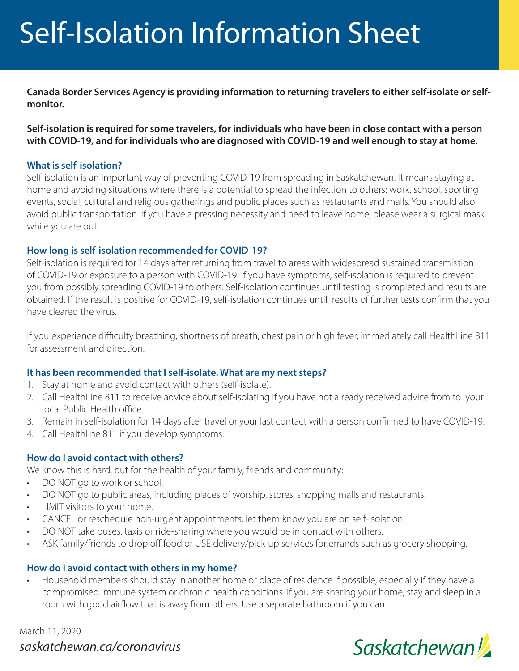# Self-Isolation Information Sheet

**Canada Border Services Agency is providing information to returning travelers to either self-isolate or selfmonitor.** 

**Self-isolation is required for some travelers, for individuals who have been in close contact with a person with COVID-19, and for individuals who are diagnosed with COVID-19 and well enough to stay at home.** 

#### **What is self-isolation?**

Self-isolation is an important way of preventing COVID-19 from spreading in Saskatchewan. It means staying at home and avoiding situations where there is a potential to spread the infection to others: work, school, sporting events, social, cultural and religious gatherings and public places such as restaurants and malls. You should also avoid public transportation. If you have a pressing necessity and need to leave home, please wear a surgical mask while you are out.

#### **How long is self-isolation recommended for COVID-19?**

Self-isolation is required for 14 days after returning from travel to areas with widespread sustained transmission of COVID-19 or exposure to a person with COVID-19. If you have symptoms, self-isolation is required to prevent you from possibly spreading COVID-19 to others. Self-isolation continues until testing is completed and results are obtained. If the result is positive for COVID-19, self-isolation continues until results of further tests confirm that you have cleared the virus.

If you experience difficulty breathing, shortness of breath, chest pain or high fever, immediately call HealthLine 811 for assessment and direction.

# **It has been recommended that I self-isolate. What are my next steps?**

- 1. Stay at home and avoid contact with others (self-isolate).
- 2. Call HealthLine 811 to receive advice about self-isolating if you have not already received advice from to your local Public Health office.
- 3. Remain in self-isolation for 14 days after travel or your last contact with a person confirmed to have COVID-19.
- 4. Call Healthline 811 if you develop symptoms.

# **How do I avoid contact with others?**

We know this is hard, but for the health of your family, friends and community:

- DO NOT go to work or school.
- DO NOT go to public areas, including places of worship, stores, shopping malls and restaurants.
- LIMIT visitors to your home.
- CANCEL or reschedule non-urgent appointments; let them know you are on self-isolation.
- DO NOT take buses, taxis or ride-sharing where you would be in contact with others.
- ASK family/friends to drop off food or USE delivery/pick-up services for errands such as grocery shopping.

# **How do I avoid contact with others in my home?**

• Household members should stay in another home or place of residence if possible, especially if they have a compromised immune system or chronic health conditions. If you are sharing your home, stay and sleep in a room with good airflow that is away from others. Use a separate bathroom if you can.

*saskatchewan.ca/coronavirus* March 11, 2020